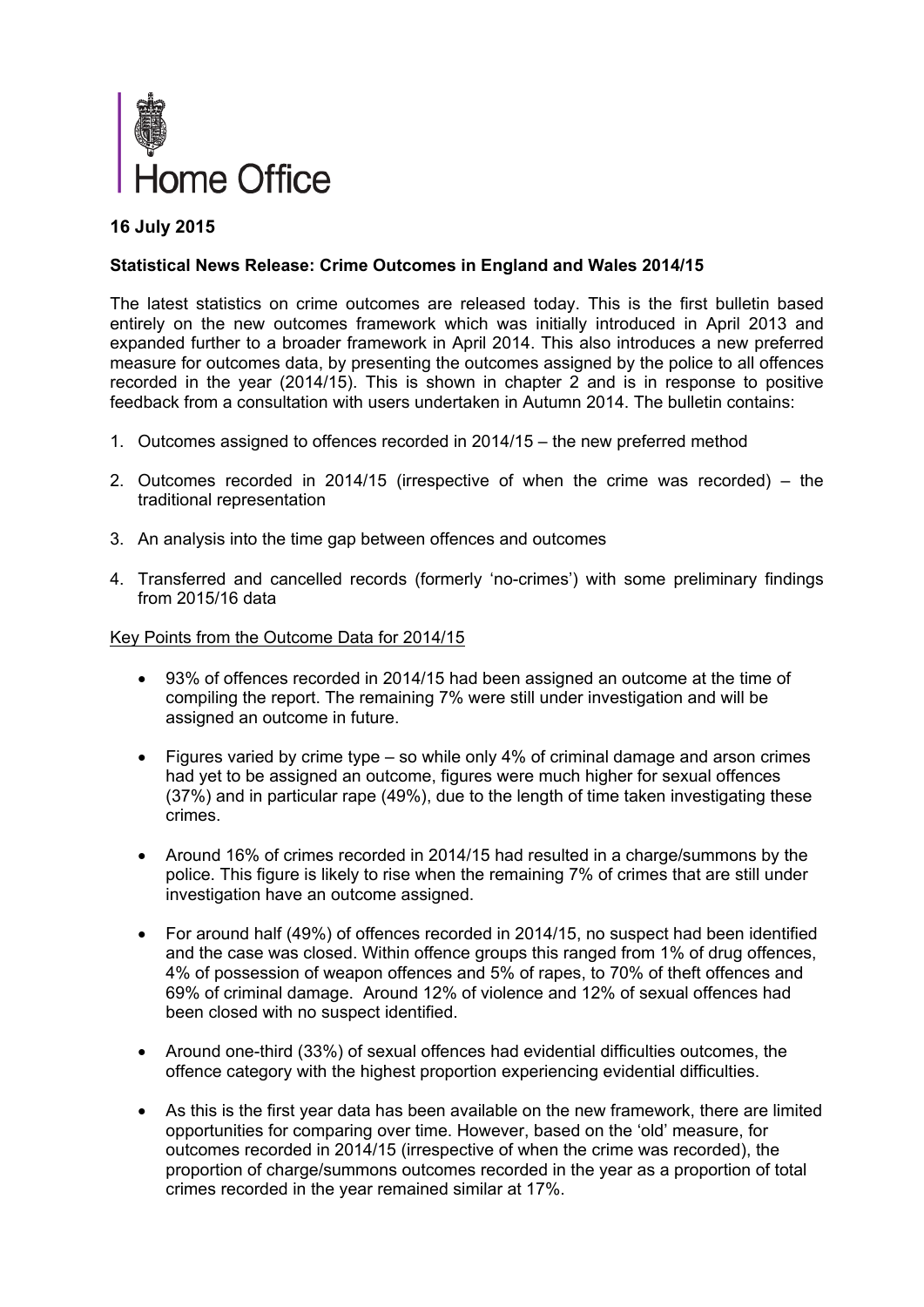

# **16 July 2015**

#### **Statistical News Release: Crime Outcomes in England and Wales 2014/15**

The latest statistics on crime outcomes are released today. This is the first bulletin based entirely on the new outcomes framework which was initially introduced in April 2013 and expanded further to a broader framework in April 2014. This also introduces a new preferred measure for outcomes data, by presenting the outcomes assigned by the police to all offences recorded in the year (2014/15). This is shown in chapter 2 and is in response to positive feedback from a consultation with users undertaken in Autumn 2014. The bulletin contains:

- 1. Outcomes assigned to offences recorded in 2014/15 the new preferred method
- 2. Outcomes recorded in 2014/15 (irrespective of when the crime was recorded) the traditional representation
- 3. An analysis into the time gap between offences and outcomes
- 4. Transferred and cancelled records (formerly 'no-crimes') with some preliminary findings from 2015/16 data

#### Key Points from the Outcome Data for 2014/15

- 93% of offences recorded in 2014/15 had been assigned an outcome at the time of compiling the report. The remaining 7% were still under investigation and will be assigned an outcome in future.
- Figures varied by crime type so while only 4% of criminal damage and arson crimes had yet to be assigned an outcome, figures were much higher for sexual offences (37%) and in particular rape (49%), due to the length of time taken investigating these crimes.
- Around 16% of crimes recorded in 2014/15 had resulted in a charge/summons by the police. This figure is likely to rise when the remaining 7% of crimes that are still under investigation have an outcome assigned.
- For around half (49%) of offences recorded in 2014/15, no suspect had been identified and the case was closed. Within offence groups this ranged from 1% of drug offences, 4% of possession of weapon offences and 5% of rapes, to 70% of theft offences and 69% of criminal damage. Around 12% of violence and 12% of sexual offences had been closed with no suspect identified.
- Around one-third (33%) of sexual offences had evidential difficulties outcomes, the offence category with the highest proportion experiencing evidential difficulties.
- As this is the first year data has been available on the new framework, there are limited opportunities for comparing over time. However, based on the 'old' measure, for outcomes recorded in 2014/15 (irrespective of when the crime was recorded), the proportion of charge/summons outcomes recorded in the year as a proportion of total crimes recorded in the year remained similar at 17%.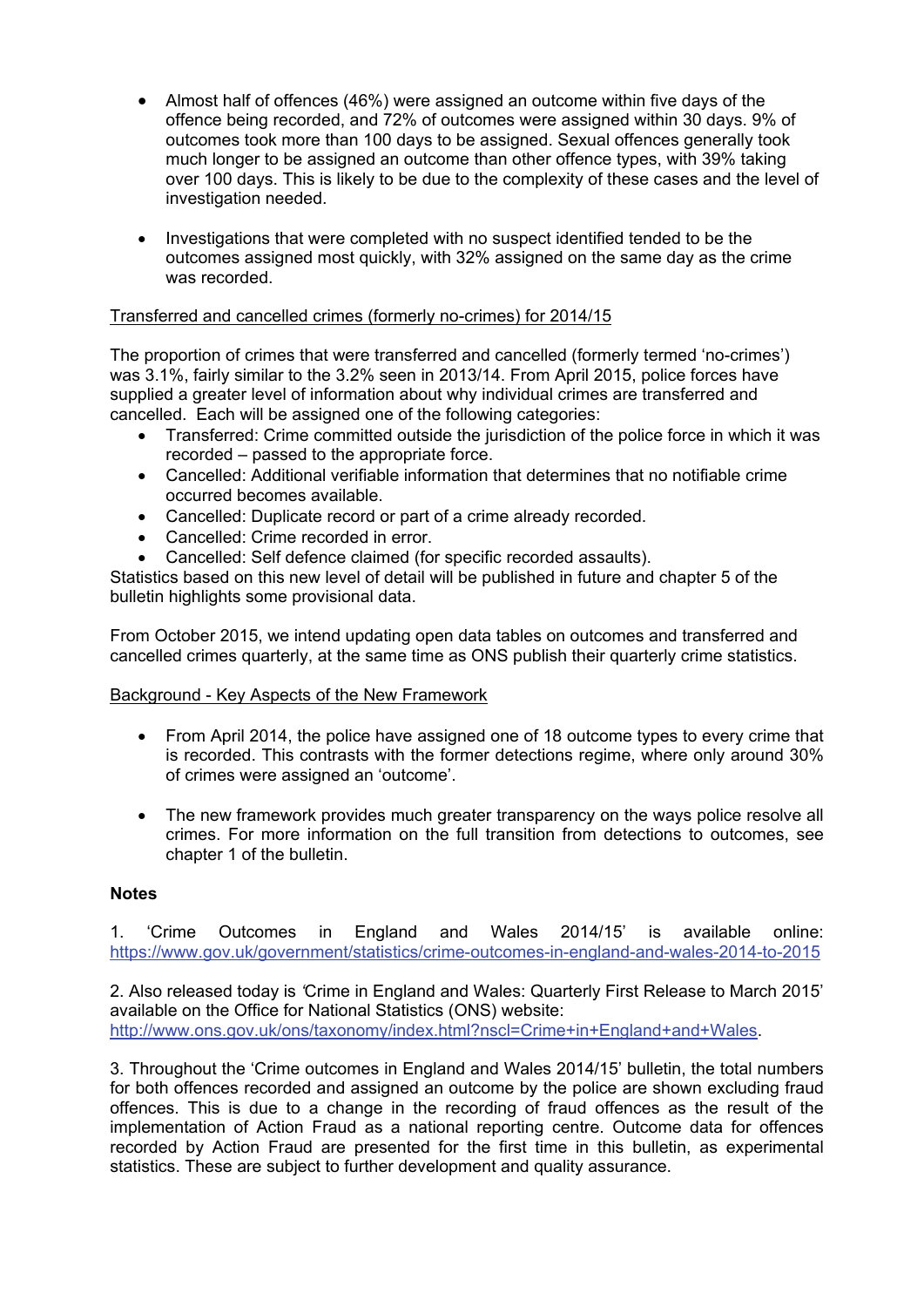- Almost half of offences (46%) were assigned an outcome within five days of the offence being recorded, and 72% of outcomes were assigned within 30 days. 9% of outcomes took more than 100 days to be assigned. Sexual offences generally took much longer to be assigned an outcome than other offence types, with 39% taking over 100 days. This is likely to be due to the complexity of these cases and the level of investigation needed.
- Investigations that were completed with no suspect identified tended to be the outcomes assigned most quickly, with 32% assigned on the same day as the crime was recorded.

## Transferred and cancelled crimes (formerly no-crimes) for 2014/15

The proportion of crimes that were transferred and cancelled (formerly termed 'no-crimes') was 3.1%, fairly similar to the 3.2% seen in 2013/14. From April 2015, police forces have supplied a greater level of information about why individual crimes are transferred and cancelled. Each will be assigned one of the following categories:

- Transferred: Crime committed outside the jurisdiction of the police force in which it was recorded – passed to the appropriate force.
- Cancelled: Additional verifiable information that determines that no notifiable crime occurred becomes available.
- Cancelled: Duplicate record or part of a crime already recorded.
- Cancelled: Crime recorded in error.
- Cancelled: Self defence claimed (for specific recorded assaults).

Statistics based on this new level of detail will be published in future and chapter 5 of the bulletin highlights some provisional data.

From October 2015, we intend updating open data tables on outcomes and transferred and cancelled crimes quarterly, at the same time as ONS publish their quarterly crime statistics.

## Background - Key Aspects of the New Framework

- From April 2014, the police have assigned one of 18 outcome types to every crime that is recorded. This contrasts with the former detections regime, where only around 30% of crimes were assigned an 'outcome'.
- The new framework provides much greater transparency on the ways police resolve all crimes. For more information on the full transition from detections to outcomes, see chapter 1 of the bulletin.

## **Notes**

1. 'Crime Outcomes in England and Wales 2014/15' is available online: https://www.gov.uk/government/statistics/crime-outcomes-in-england-and-wales-2014-to-2015

2. Also released today is *'*Crime in England and Wales: Quarterly First Release to March 2015' available on the Office for National Statistics (ONS) website: http://www.ons.gov.uk/ons/taxonomy/index.html?nscl=Crime+in+England+and+Wales.

3. Throughout the 'Crime outcomes in England and Wales 2014/15' bulletin, the total numbers for both offences recorded and assigned an outcome by the police are shown excluding fraud offences. This is due to a change in the recording of fraud offences as the result of the implementation of Action Fraud as a national reporting centre. Outcome data for offences recorded by Action Fraud are presented for the first time in this bulletin, as experimental statistics. These are subject to further development and quality assurance.